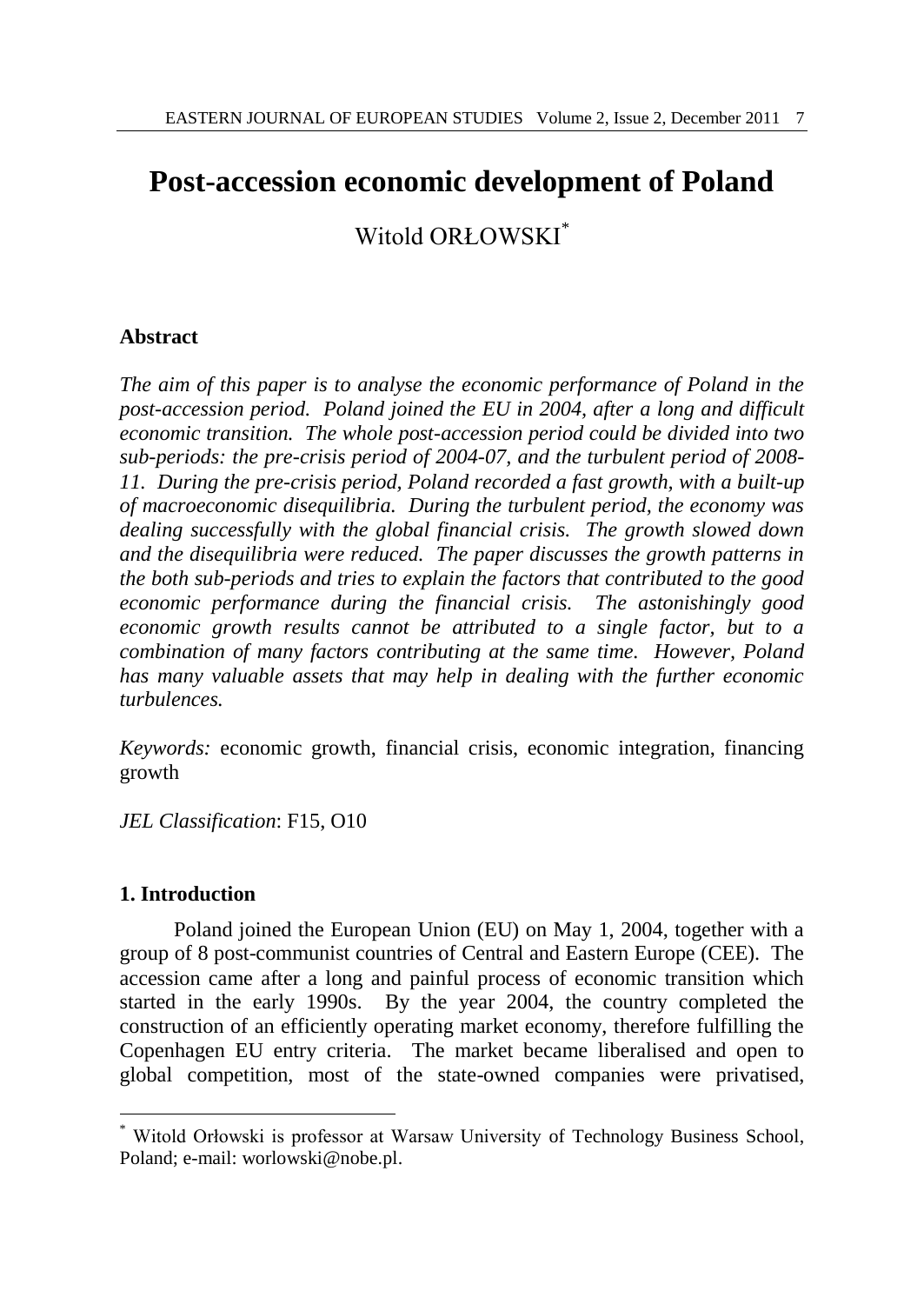# **Post-accession economic development of Poland**

Witold ORŁOWSKI\*

# **Abstract**

*The aim of this paper is to analyse the economic performance of Poland in the post-accession period. Poland joined the EU in 2004, after a long and difficult economic transition. The whole post-accession period could be divided into two sub-periods: the pre-crisis period of 2004-07, and the turbulent period of 2008- 11. During the pre-crisis period, Poland recorded a fast growth, with a built-up of macroeconomic disequilibria. During the turbulent period, the economy was dealing successfully with the global financial crisis. The growth slowed down and the disequilibria were reduced. The paper discusses the growth patterns in the both sub-periods and tries to explain the factors that contributed to the good economic performance during the financial crisis. The astonishingly good economic growth results cannot be attributed to a single factor, but to a combination of many factors contributing at the same time. However, Poland has many valuable assets that may help in dealing with the further economic turbulences.*

*Keywords:* economic growth, financial crisis, economic integration, financing growth

*JEL Classification*: F15, O10

# **1. Introduction**

 $\overline{a}$ 

Poland joined the European Union (EU) on May 1, 2004, together with a group of 8 post-communist countries of Central and Eastern Europe (CEE). The accession came after a long and painful process of economic transition which started in the early 1990s. By the year 2004, the country completed the construction of an efficiently operating market economy, therefore fulfilling the Copenhagen EU entry criteria. The market became liberalised and open to global competition, most of the state-owned companies were privatised,

<sup>\*</sup> Witold Orłowski is professor at Warsaw University of Technology Business School, Poland; e-mail: worlowski@nobe.pl.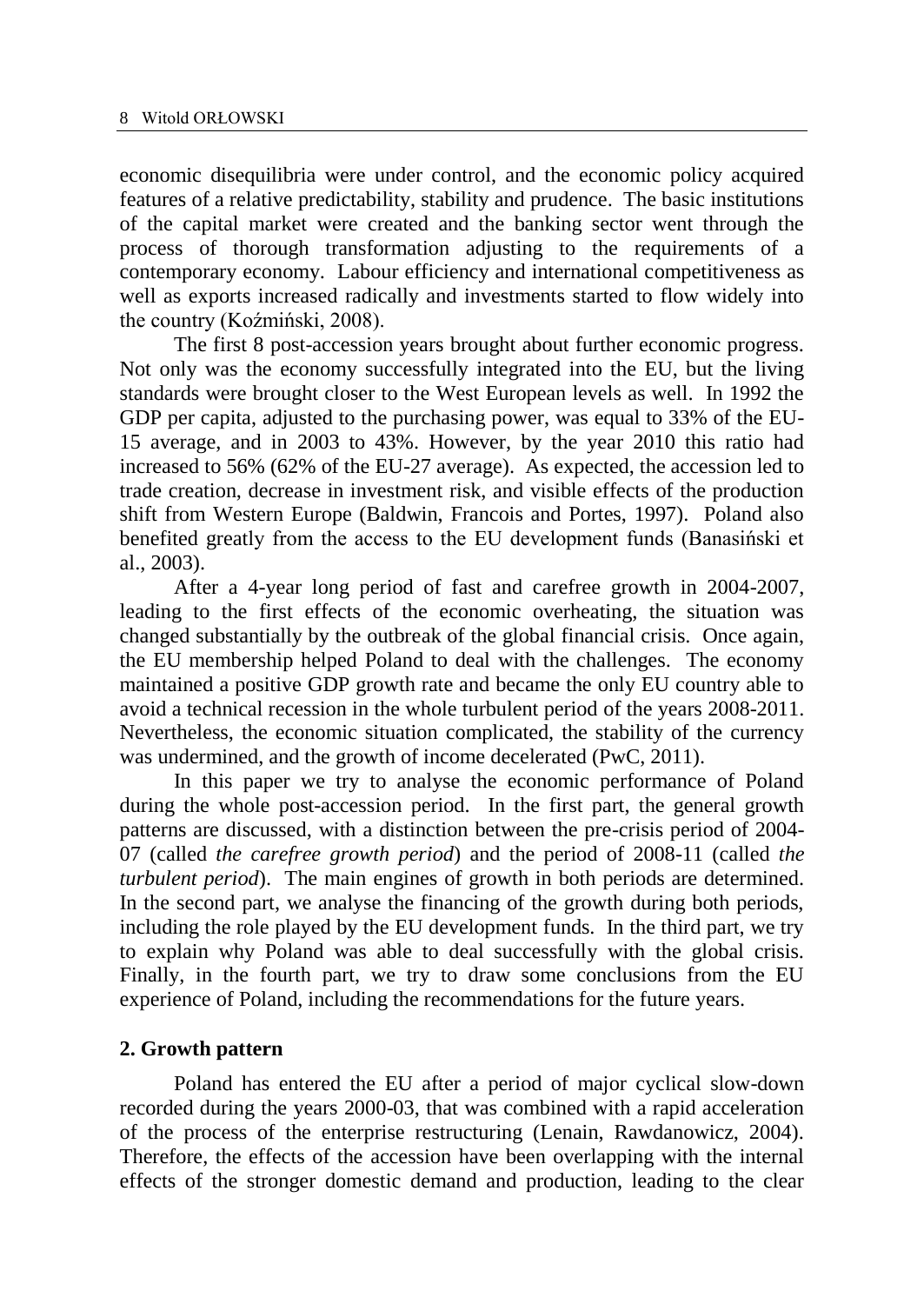economic disequilibria were under control, and the economic policy acquired features of a relative predictability, stability and prudence. The basic institutions of the capital market were created and the banking sector went through the process of thorough transformation adjusting to the requirements of a contemporary economy. Labour efficiency and international competitiveness as well as exports increased radically and investments started to flow widely into the country (Koźmiński, 2008).

The first 8 post-accession years brought about further economic progress. Not only was the economy successfully integrated into the EU, but the living standards were brought closer to the West European levels as well. In 1992 the GDP per capita, adjusted to the purchasing power, was equal to 33% of the EU-15 average, and in 2003 to 43%. However, by the year 2010 this ratio had increased to 56% (62% of the EU-27 average). As expected, the accession led to trade creation, decrease in investment risk, and visible effects of the production shift from Western Europe (Baldwin, Francois and Portes, 1997). Poland also benefited greatly from the access to the EU development funds (Banasiński et al., 2003).

After a 4-year long period of fast and carefree growth in 2004-2007, leading to the first effects of the economic overheating, the situation was changed substantially by the outbreak of the global financial crisis. Once again, the EU membership helped Poland to deal with the challenges. The economy maintained a positive GDP growth rate and became the only EU country able to avoid a technical recession in the whole turbulent period of the years 2008-2011. Nevertheless, the economic situation complicated, the stability of the currency was undermined, and the growth of income decelerated (PwC, 2011).

In this paper we try to analyse the economic performance of Poland during the whole post-accession period. In the first part, the general growth patterns are discussed, with a distinction between the pre-crisis period of 2004- 07 (called *the carefree growth period*) and the period of 2008-11 (called *the turbulent period*). The main engines of growth in both periods are determined. In the second part, we analyse the financing of the growth during both periods, including the role played by the EU development funds. In the third part, we try to explain why Poland was able to deal successfully with the global crisis. Finally, in the fourth part, we try to draw some conclusions from the EU experience of Poland, including the recommendations for the future years.

# **2. Growth pattern**

Poland has entered the EU after a period of major cyclical slow-down recorded during the years 2000-03, that was combined with a rapid acceleration of the process of the enterprise restructuring (Lenain, Rawdanowicz, 2004). Therefore, the effects of the accession have been overlapping with the internal effects of the stronger domestic demand and production, leading to the clear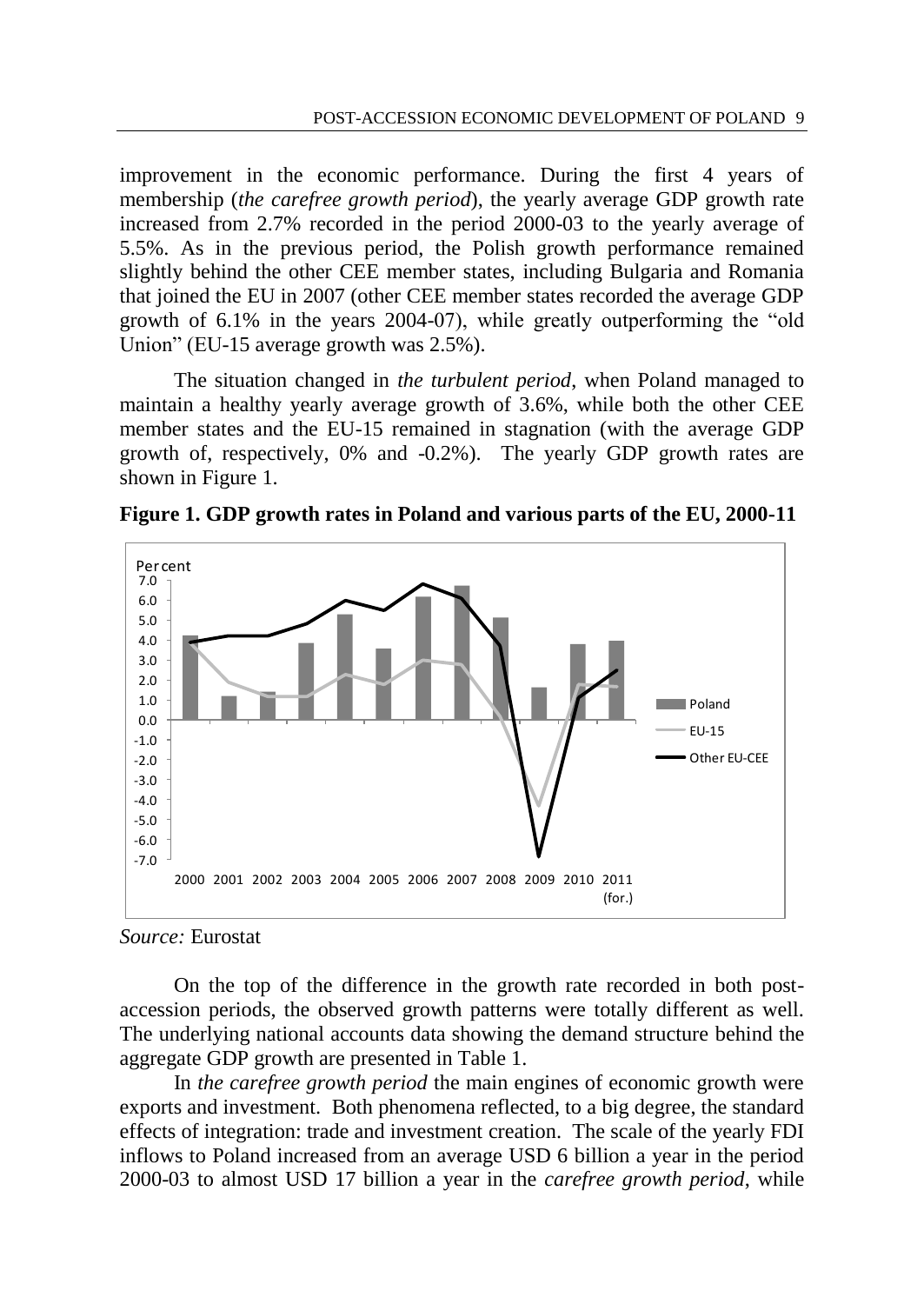improvement in the economic performance. During the first 4 years of membership (*the carefree growth period*), the yearly average GDP growth rate increased from 2.7% recorded in the period 2000-03 to the yearly average of 5.5%. As in the previous period, the Polish growth performance remained slightly behind the other CEE member states, including Bulgaria and Romania that joined the EU in 2007 (other CEE member states recorded the average GDP growth of 6.1% in the years 2004-07), while greatly outperforming the "old Union" (EU-15 average growth was 2.5%).

The situation changed in *the turbulent period*, when Poland managed to maintain a healthy yearly average growth of 3.6%, while both the other CEE member states and the EU-15 remained in stagnation (with the average GDP growth of, respectively, 0% and -0.2%). The yearly GDP growth rates are shown in Figure 1.



**Figure 1. GDP growth rates in Poland and various parts of the EU, 2000-11**

#### *Source:* Eurostat

On the top of the difference in the growth rate recorded in both postaccession periods, the observed growth patterns were totally different as well. The underlying national accounts data showing the demand structure behind the aggregate GDP growth are presented in Table 1.

In *the carefree growth period* the main engines of economic growth were exports and investment. Both phenomena reflected, to a big degree, the standard effects of integration: trade and investment creation. The scale of the yearly FDI inflows to Poland increased from an average USD 6 billion a year in the period 2000-03 to almost USD 17 billion a year in the *carefree growth period*, while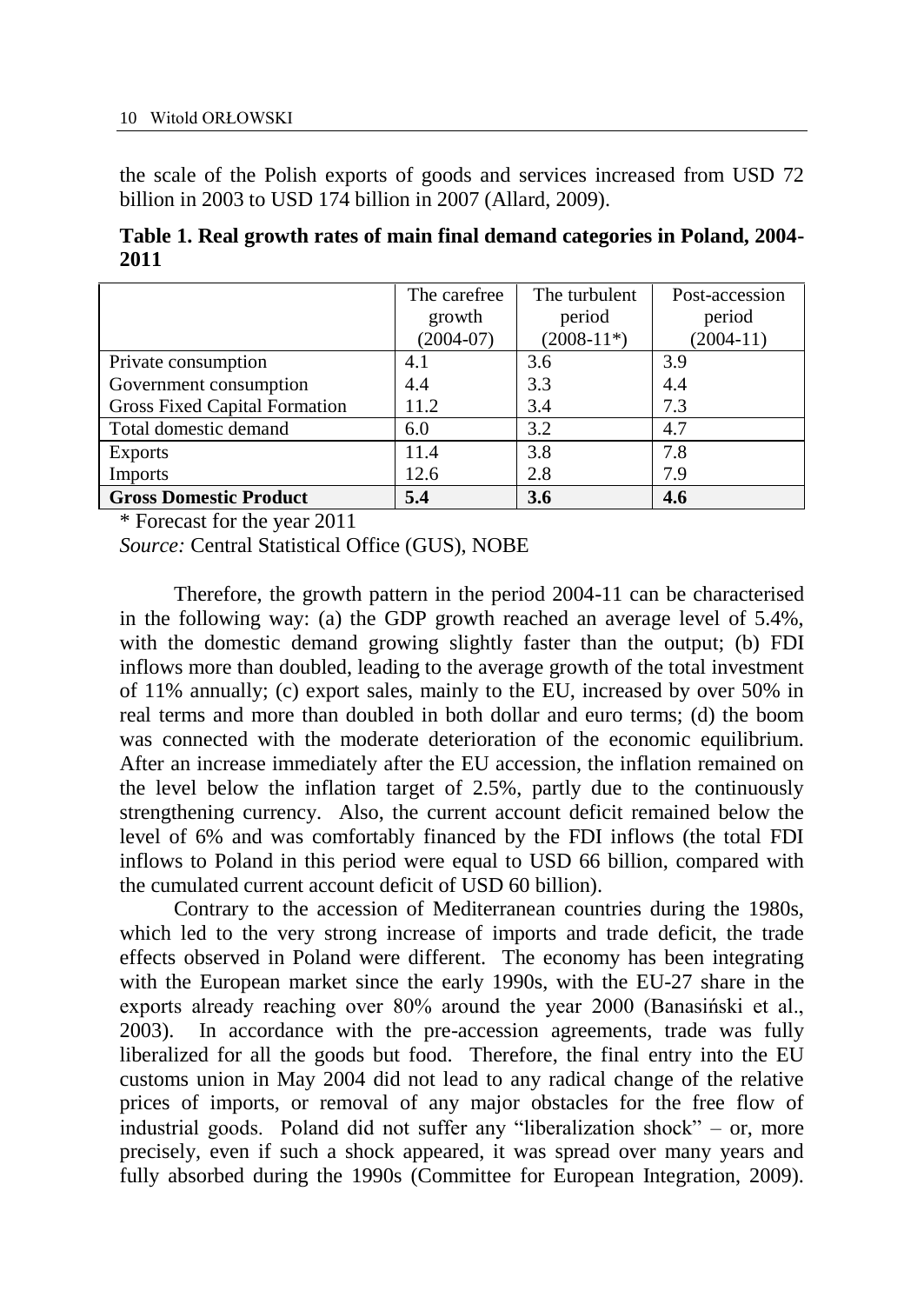the scale of the Polish exports of goods and services increased from USD 72 billion in 2003 to USD 174 billion in 2007 (Allard, 2009).

**Table 1. Real growth rates of main final demand categories in Poland, 2004- 2011**

|                               | The carefree | The turbulent | Post-accession |
|-------------------------------|--------------|---------------|----------------|
|                               | growth       | period        | period         |
|                               | $(2004-07)$  | $(2008-11*)$  | $(2004-11)$    |
| Private consumption           | 4.1          | 3.6           | 3.9            |
| Government consumption        | 4.4          | 3.3           | 4.4            |
| Gross Fixed Capital Formation | 11.2         | 3.4           | 7.3            |
| Total domestic demand         | 6.0          | 3.2           | 4.7            |
| <b>Exports</b>                | 11.4         | 3.8           | 7.8            |
| <b>Imports</b>                | 12.6         | 2.8           | 7.9            |
| <b>Gross Domestic Product</b> | 5.4          | 3.6           | 4.6            |

\* Forecast for the year 2011

*Source:* Central Statistical Office (GUS), NOBE

Therefore, the growth pattern in the period 2004-11 can be characterised in the following way: (a) the GDP growth reached an average level of 5.4%, with the domestic demand growing slightly faster than the output; (b) FDI inflows more than doubled, leading to the average growth of the total investment of 11% annually; (c) export sales, mainly to the EU, increased by over 50% in real terms and more than doubled in both dollar and euro terms; (d) the boom was connected with the moderate deterioration of the economic equilibrium. After an increase immediately after the EU accession, the inflation remained on the level below the inflation target of 2.5%, partly due to the continuously strengthening currency. Also, the current account deficit remained below the level of 6% and was comfortably financed by the FDI inflows (the total FDI inflows to Poland in this period were equal to USD 66 billion, compared with the cumulated current account deficit of USD 60 billion).

Contrary to the accession of Mediterranean countries during the 1980s, which led to the very strong increase of imports and trade deficit, the trade effects observed in Poland were different. The economy has been integrating with the European market since the early 1990s, with the EU-27 share in the exports already reaching over 80% around the year 2000 (Banasiński et al., 2003). In accordance with the pre-accession agreements, trade was fully liberalized for all the goods but food. Therefore, the final entry into the EU customs union in May 2004 did not lead to any radical change of the relative prices of imports, or removal of any major obstacles for the free flow of industrial goods. Poland did not suffer any "liberalization shock" – or, more precisely, even if such a shock appeared, it was spread over many years and fully absorbed during the 1990s (Committee for European Integration, 2009).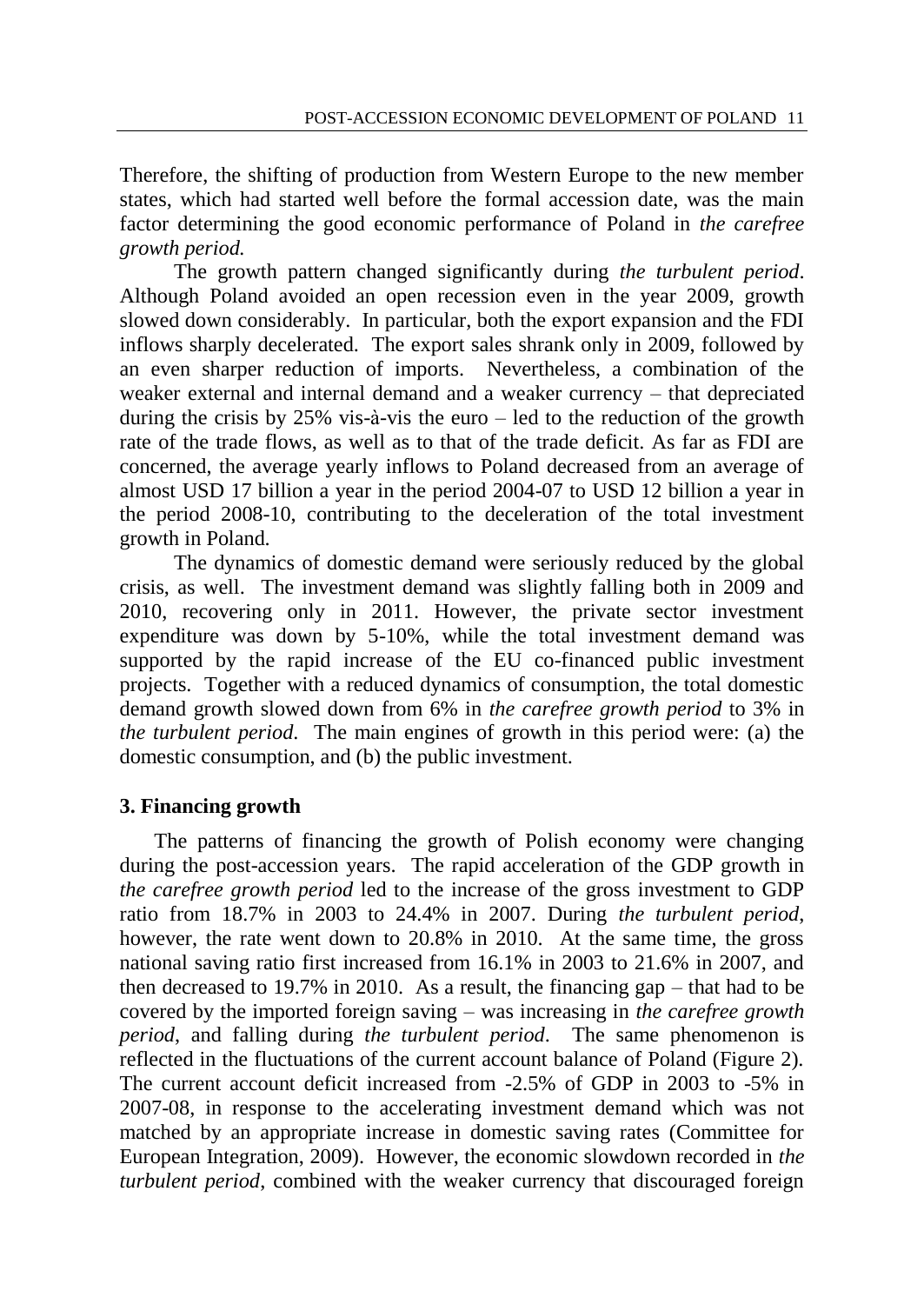Therefore, the shifting of production from Western Europe to the new member states, which had started well before the formal accession date, was the main factor determining the good economic performance of Poland in *the carefree growth period.*

The growth pattern changed significantly during *the turbulent period*. Although Poland avoided an open recession even in the year 2009, growth slowed down considerably. In particular, both the export expansion and the FDI inflows sharply decelerated. The export sales shrank only in 2009, followed by an even sharper reduction of imports. Nevertheless, a combination of the weaker external and internal demand and a weaker currency – that depreciated during the crisis by  $25\%$  vis-à-vis the euro – led to the reduction of the growth rate of the trade flows, as well as to that of the trade deficit. As far as FDI are concerned, the average yearly inflows to Poland decreased from an average of almost USD 17 billion a year in the period 2004-07 to USD 12 billion a year in the period 2008-10, contributing to the deceleration of the total investment growth in Poland.

The dynamics of domestic demand were seriously reduced by the global crisis, as well. The investment demand was slightly falling both in 2009 and 2010, recovering only in 2011. However, the private sector investment expenditure was down by 5-10%, while the total investment demand was supported by the rapid increase of the EU co-financed public investment projects. Together with a reduced dynamics of consumption, the total domestic demand growth slowed down from 6% in *the carefree growth period* to 3% in *the turbulent period*. The main engines of growth in this period were: (a) the domestic consumption, and (b) the public investment.

# **3. Financing growth**

The patterns of financing the growth of Polish economy were changing during the post-accession years. The rapid acceleration of the GDP growth in *the carefree growth period* led to the increase of the gross investment to GDP ratio from 18.7% in 2003 to 24.4% in 2007. During *the turbulent period*, however, the rate went down to 20.8% in 2010. At the same time, the gross national saving ratio first increased from 16.1% in 2003 to 21.6% in 2007, and then decreased to 19.7% in 2010. As a result, the financing gap – that had to be covered by the imported foreign saving – was increasing in *the carefree growth period*, and falling during *the turbulent period*. The same phenomenon is reflected in the fluctuations of the current account balance of Poland (Figure 2). The current account deficit increased from -2.5% of GDP in 2003 to -5% in 2007-08, in response to the accelerating investment demand which was not matched by an appropriate increase in domestic saving rates (Committee for European Integration, 2009). However, the economic slowdown recorded in *the turbulent period*, combined with the weaker currency that discouraged foreign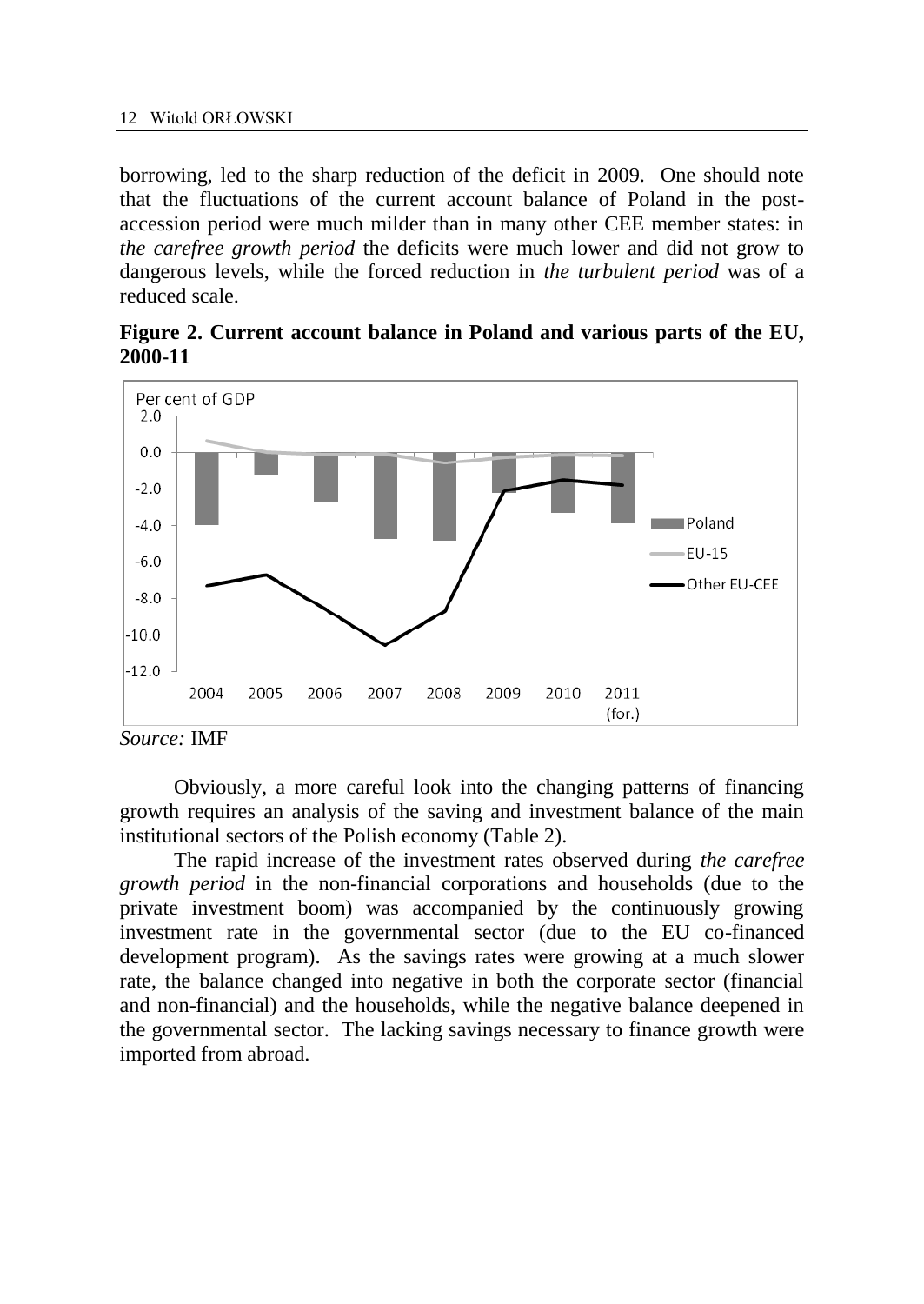#### 12 Witold ORŁOWSKI

borrowing, led to the sharp reduction of the deficit in 2009. One should note that the fluctuations of the current account balance of Poland in the postaccession period were much milder than in many other CEE member states: in *the carefree growth period* the deficits were much lower and did not grow to dangerous levels, while the forced reduction in *the turbulent period* was of a reduced scale.





Obviously, a more careful look into the changing patterns of financing growth requires an analysis of the saving and investment balance of the main institutional sectors of the Polish economy (Table 2).

The rapid increase of the investment rates observed during *the carefree growth period* in the non-financial corporations and households (due to the private investment boom) was accompanied by the continuously growing investment rate in the governmental sector (due to the EU co-financed development program). As the savings rates were growing at a much slower rate, the balance changed into negative in both the corporate sector (financial and non-financial) and the households, while the negative balance deepened in the governmental sector. The lacking savings necessary to finance growth were imported from abroad.

*Source:* IMF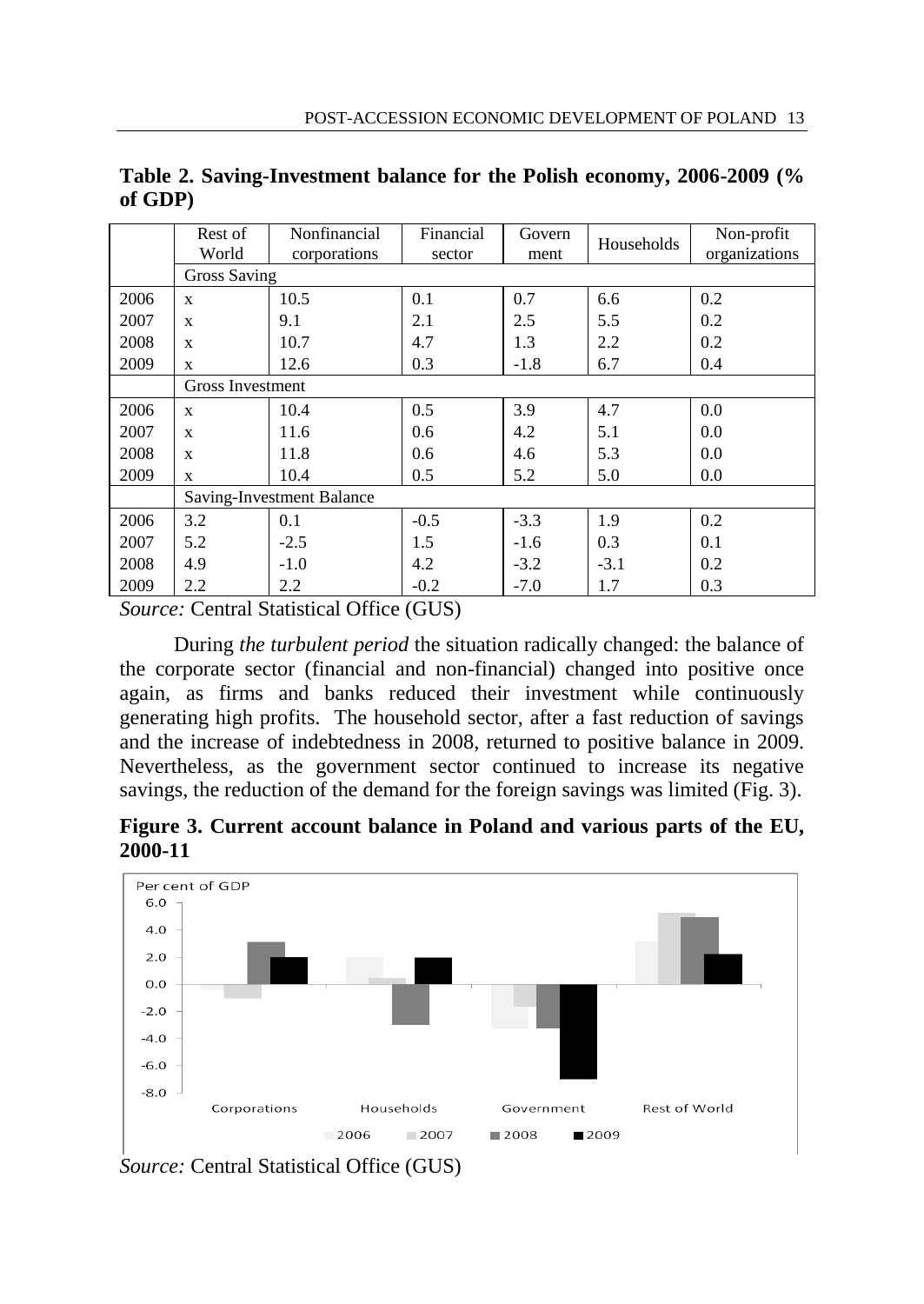|      | Rest of<br>World          | Nonfinancial<br>corporations | Financial<br>sector | Govern<br>ment | Households | Non-profit<br>organizations |  |  |  |
|------|---------------------------|------------------------------|---------------------|----------------|------------|-----------------------------|--|--|--|
|      | <b>Gross Saving</b>       |                              |                     |                |            |                             |  |  |  |
| 2006 | X                         | 10.5                         | 0.1                 | 0.7            | 6.6        | 0.2                         |  |  |  |
| 2007 | X                         | 9.1                          | 2.1                 | 2.5            | 5.5        | 0.2                         |  |  |  |
| 2008 | X                         | 10.7                         | 4.7                 | 1.3            | 2.2        | 0.2                         |  |  |  |
| 2009 | X                         | 12.6                         | 0.3                 | $-1.8$         | 6.7        | 0.4                         |  |  |  |
|      | Gross Investment          |                              |                     |                |            |                             |  |  |  |
| 2006 | X                         | 10.4                         | 0.5                 | 3.9            | 4.7        | 0.0                         |  |  |  |
| 2007 | X                         | 11.6                         | 0.6                 | 4.2            | 5.1        | 0.0                         |  |  |  |
| 2008 | X                         | 11.8                         | 0.6                 | 4.6            | 5.3        | 0.0                         |  |  |  |
| 2009 | X                         | 10.4                         | 0.5                 | 5.2            | 5.0        | 0.0                         |  |  |  |
|      | Saving-Investment Balance |                              |                     |                |            |                             |  |  |  |
| 2006 | 3.2                       | 0.1                          | $-0.5$              | $-3.3$         | 1.9        | 0.2                         |  |  |  |
| 2007 | 5.2                       | $-2.5$                       | 1.5                 | $-1.6$         | 0.3        | 0.1                         |  |  |  |
| 2008 | 4.9                       | $-1.0$                       | 4.2                 | $-3.2$         | $-3.1$     | 0.2                         |  |  |  |
| 2009 | 2.2                       | 2.2                          | $-0.2$              | $-7.0$         | 1.7        | 0.3                         |  |  |  |

**Table 2. Saving-Investment balance for the Polish economy, 2006-2009 (% of GDP)**

*Source:* Central Statistical Office (GUS)

During *the turbulent period* the situation radically changed: the balance of the corporate sector (financial and non-financial) changed into positive once again, as firms and banks reduced their investment while continuously generating high profits. The household sector, after a fast reduction of savings and the increase of indebtedness in 2008, returned to positive balance in 2009. Nevertheless, as the government sector continued to increase its negative savings, the reduction of the demand for the foreign savings was limited (Fig. 3).

**Figure 3. Current account balance in Poland and various parts of the EU, 2000-11**



*Source:* Central Statistical Office (GUS)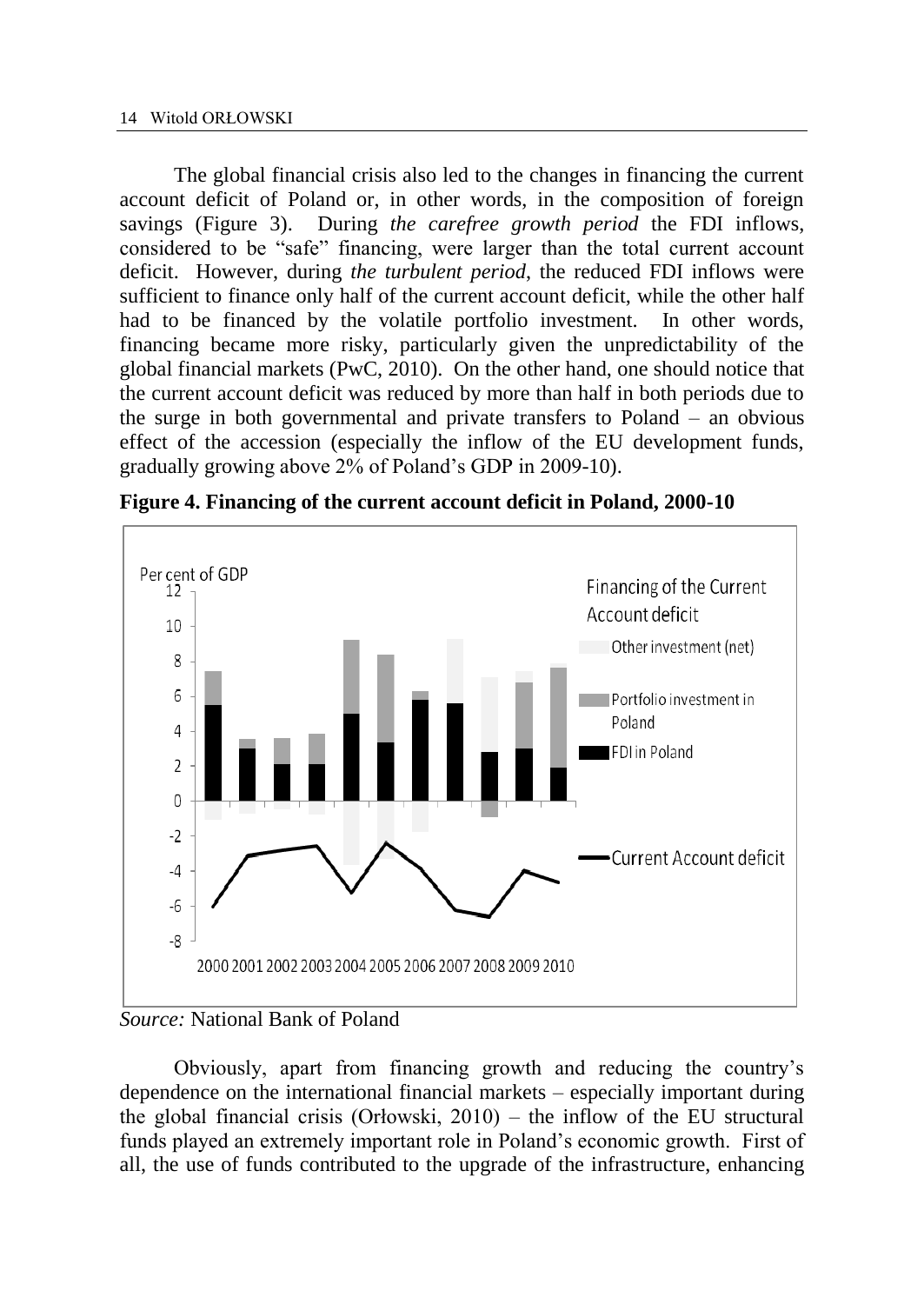The global financial crisis also led to the changes in financing the current account deficit of Poland or, in other words, in the composition of foreign savings (Figure 3). During *the carefree growth period* the FDI inflows, considered to be "safe" financing, were larger than the total current account deficit. However, during *the turbulent period*, the reduced FDI inflows were sufficient to finance only half of the current account deficit, while the other half had to be financed by the volatile portfolio investment. In other words, financing became more risky, particularly given the unpredictability of the global financial markets (PwC, 2010). On the other hand, one should notice that the current account deficit was reduced by more than half in both periods due to the surge in both governmental and private transfers to Poland – an obvious effect of the accession (especially the inflow of the EU development funds, gradually growing above 2% of Poland's GDP in 2009-10).



**Figure 4. Financing of the current account deficit in Poland, 2000-10**

# *Source:* National Bank of Poland

Obviously, apart from financing growth and reducing the country's dependence on the international financial markets – especially important during the global financial crisis (Orłowski, 2010) – the inflow of the EU structural funds played an extremely important role in Poland's economic growth. First of all, the use of funds contributed to the upgrade of the infrastructure, enhancing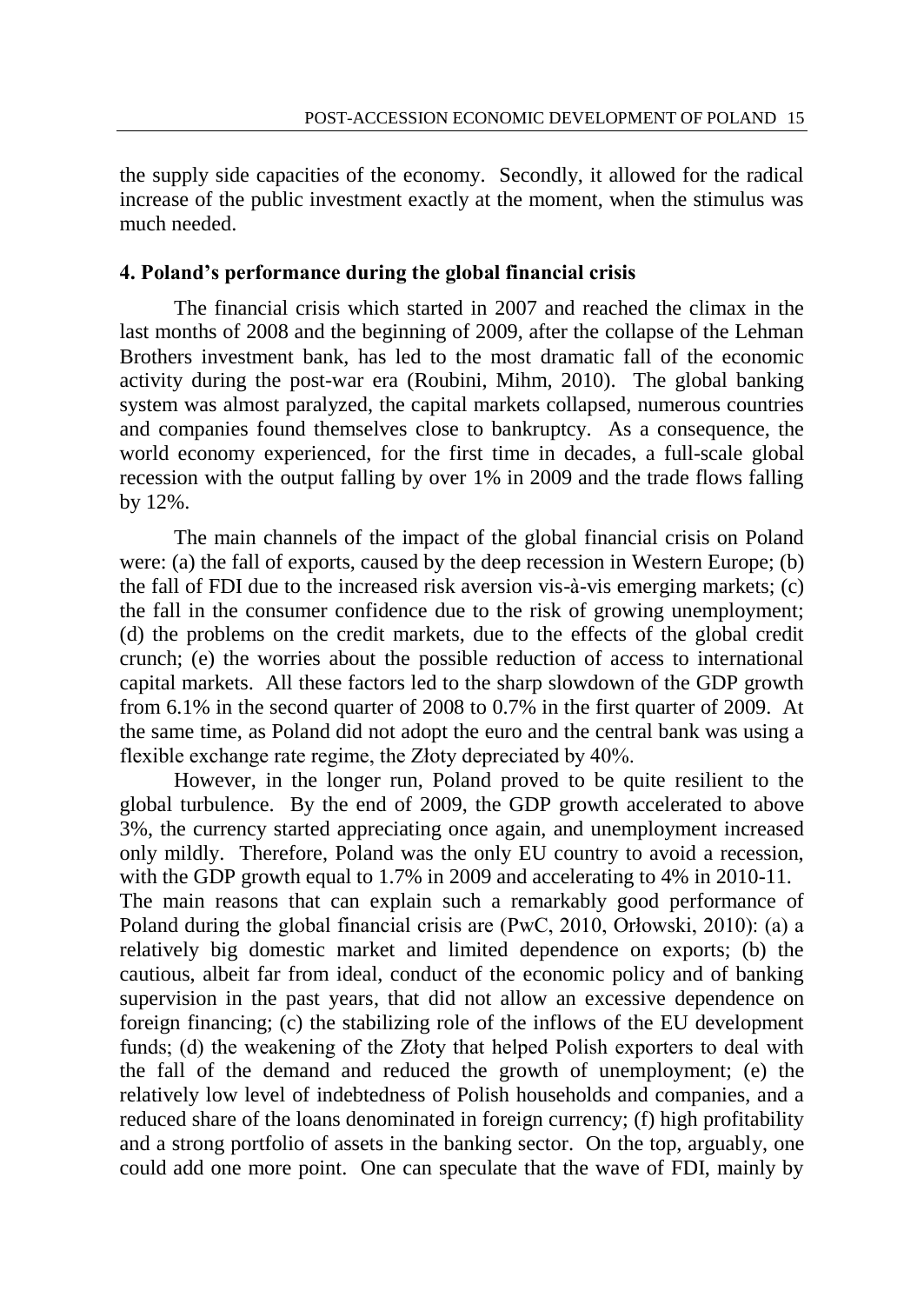the supply side capacities of the economy. Secondly, it allowed for the radical increase of the public investment exactly at the moment, when the stimulus was much needed.

# **4. Poland's performance during the global financial crisis**

The financial crisis which started in 2007 and reached the climax in the last months of 2008 and the beginning of 2009, after the collapse of the Lehman Brothers investment bank, has led to the most dramatic fall of the economic activity during the post-war era (Roubini, Mihm, 2010). The global banking system was almost paralyzed, the capital markets collapsed, numerous countries and companies found themselves close to bankruptcy. As a consequence, the world economy experienced, for the first time in decades, a full-scale global recession with the output falling by over 1% in 2009 and the trade flows falling by 12%.

The main channels of the impact of the global financial crisis on Poland were: (a) the fall of exports, caused by the deep recession in Western Europe; (b) the fall of FDI due to the increased risk aversion vis-à-vis emerging markets; (c) the fall in the consumer confidence due to the risk of growing unemployment; (d) the problems on the credit markets, due to the effects of the global credit crunch; (e) the worries about the possible reduction of access to international capital markets. All these factors led to the sharp slowdown of the GDP growth from 6.1% in the second quarter of 2008 to 0.7% in the first quarter of 2009. At the same time, as Poland did not adopt the euro and the central bank was using a flexible exchange rate regime, the Złoty depreciated by 40%.

However, in the longer run, Poland proved to be quite resilient to the global turbulence. By the end of 2009, the GDP growth accelerated to above 3%, the currency started appreciating once again, and unemployment increased only mildly. Therefore, Poland was the only EU country to avoid a recession, with the GDP growth equal to 1.7% in 2009 and accelerating to 4% in 2010-11. The main reasons that can explain such a remarkably good performance of Poland during the global financial crisis are (PwC, 2010, Orłowski, 2010): (a) a relatively big domestic market and limited dependence on exports; (b) the cautious, albeit far from ideal, conduct of the economic policy and of banking supervision in the past years, that did not allow an excessive dependence on foreign financing; (c) the stabilizing role of the inflows of the EU development funds; (d) the weakening of the Złoty that helped Polish exporters to deal with the fall of the demand and reduced the growth of unemployment; (e) the relatively low level of indebtedness of Polish households and companies, and a reduced share of the loans denominated in foreign currency; (f) high profitability and a strong portfolio of assets in the banking sector. On the top, arguably, one could add one more point. One can speculate that the wave of FDI, mainly by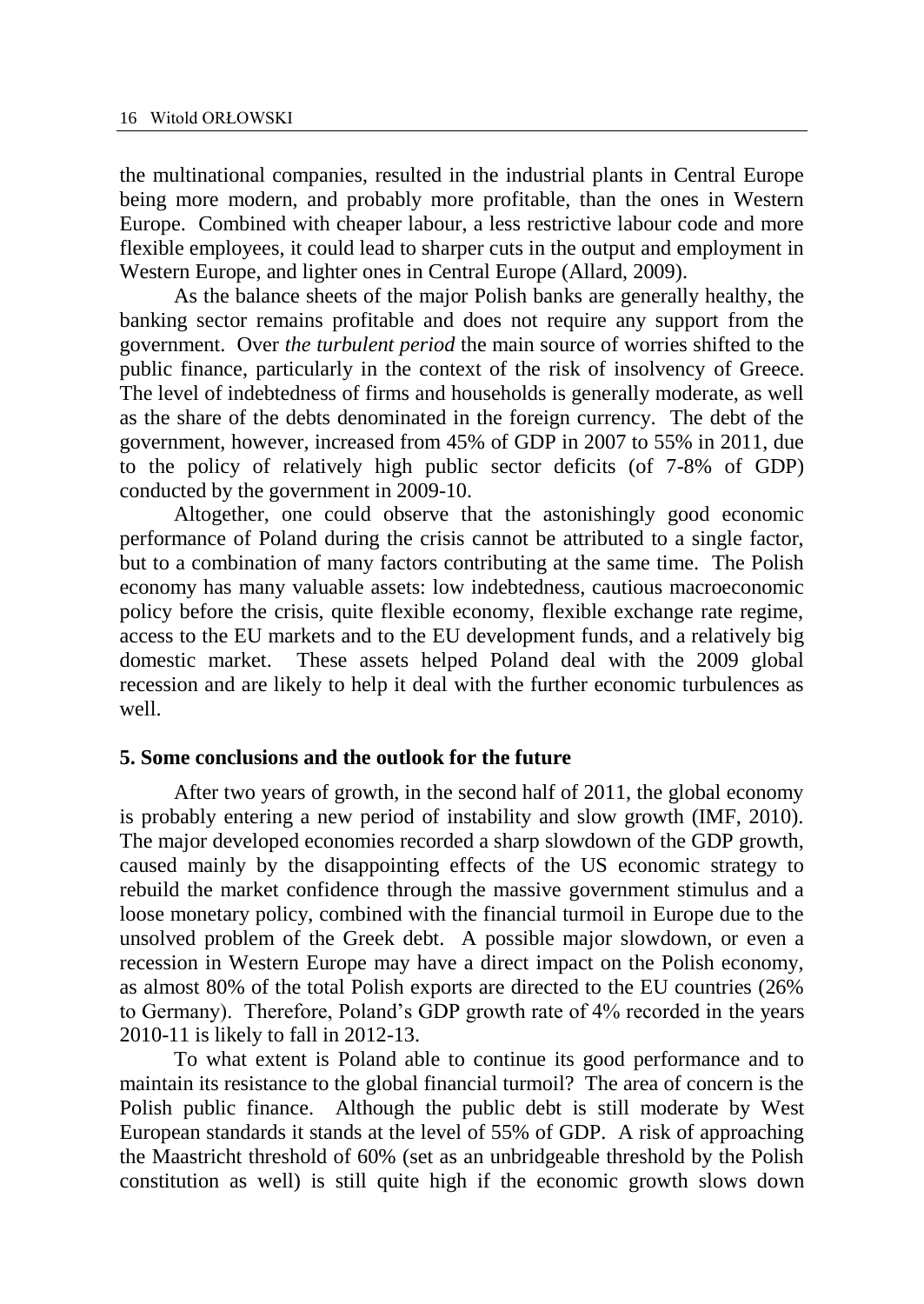the multinational companies, resulted in the industrial plants in Central Europe being more modern, and probably more profitable, than the ones in Western Europe. Combined with cheaper labour, a less restrictive labour code and more flexible employees, it could lead to sharper cuts in the output and employment in Western Europe, and lighter ones in Central Europe (Allard, 2009).

As the balance sheets of the major Polish banks are generally healthy, the banking sector remains profitable and does not require any support from the government. Over *the turbulent period* the main source of worries shifted to the public finance, particularly in the context of the risk of insolvency of Greece. The level of indebtedness of firms and households is generally moderate, as well as the share of the debts denominated in the foreign currency. The debt of the government, however, increased from 45% of GDP in 2007 to 55% in 2011, due to the policy of relatively high public sector deficits (of 7-8% of GDP) conducted by the government in 2009-10.

Altogether, one could observe that the astonishingly good economic performance of Poland during the crisis cannot be attributed to a single factor, but to a combination of many factors contributing at the same time. The Polish economy has many valuable assets: low indebtedness, cautious macroeconomic policy before the crisis, quite flexible economy, flexible exchange rate regime, access to the EU markets and to the EU development funds, and a relatively big domestic market. These assets helped Poland deal with the 2009 global recession and are likely to help it deal with the further economic turbulences as well.

### **5. Some conclusions and the outlook for the future**

After two years of growth, in the second half of 2011, the global economy is probably entering a new period of instability and slow growth (IMF, 2010). The major developed economies recorded a sharp slowdown of the GDP growth, caused mainly by the disappointing effects of the US economic strategy to rebuild the market confidence through the massive government stimulus and a loose monetary policy, combined with the financial turmoil in Europe due to the unsolved problem of the Greek debt. A possible major slowdown, or even a recession in Western Europe may have a direct impact on the Polish economy, as almost 80% of the total Polish exports are directed to the EU countries (26% to Germany). Therefore, Poland's GDP growth rate of 4% recorded in the years 2010-11 is likely to fall in 2012-13.

To what extent is Poland able to continue its good performance and to maintain its resistance to the global financial turmoil? The area of concern is the Polish public finance. Although the public debt is still moderate by West European standards it stands at the level of 55% of GDP. A risk of approaching the Maastricht threshold of 60% (set as an unbridgeable threshold by the Polish constitution as well) is still quite high if the economic growth slows down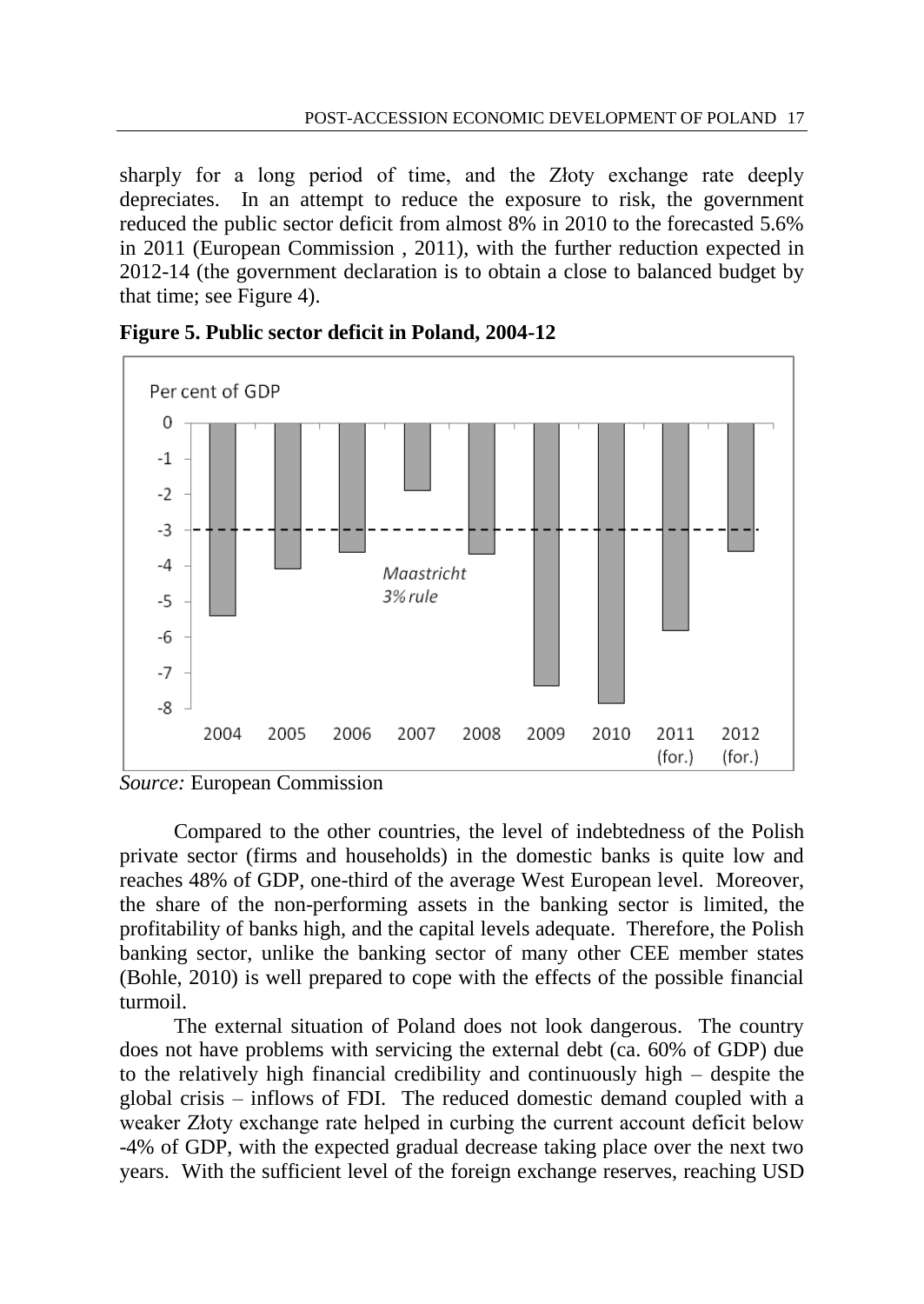sharply for a long period of time, and the Złoty exchange rate deeply depreciates. In an attempt to reduce the exposure to risk, the government reduced the public sector deficit from almost 8% in 2010 to the forecasted 5.6% in 2011 (European Commission , 2011), with the further reduction expected in 2012-14 (the government declaration is to obtain a close to balanced budget by that time; see Figure 4).







Compared to the other countries, the level of indebtedness of the Polish private sector (firms and households) in the domestic banks is quite low and reaches 48% of GDP, one-third of the average West European level. Moreover, the share of the non-performing assets in the banking sector is limited, the profitability of banks high, and the capital levels adequate. Therefore, the Polish banking sector, unlike the banking sector of many other CEE member states (Bohle, 2010) is well prepared to cope with the effects of the possible financial turmoil.

The external situation of Poland does not look dangerous. The country does not have problems with servicing the external debt (ca. 60% of GDP) due to the relatively high financial credibility and continuously high – despite the global crisis – inflows of FDI. The reduced domestic demand coupled with a weaker Złoty exchange rate helped in curbing the current account deficit below -4% of GDP, with the expected gradual decrease taking place over the next two years. With the sufficient level of the foreign exchange reserves, reaching USD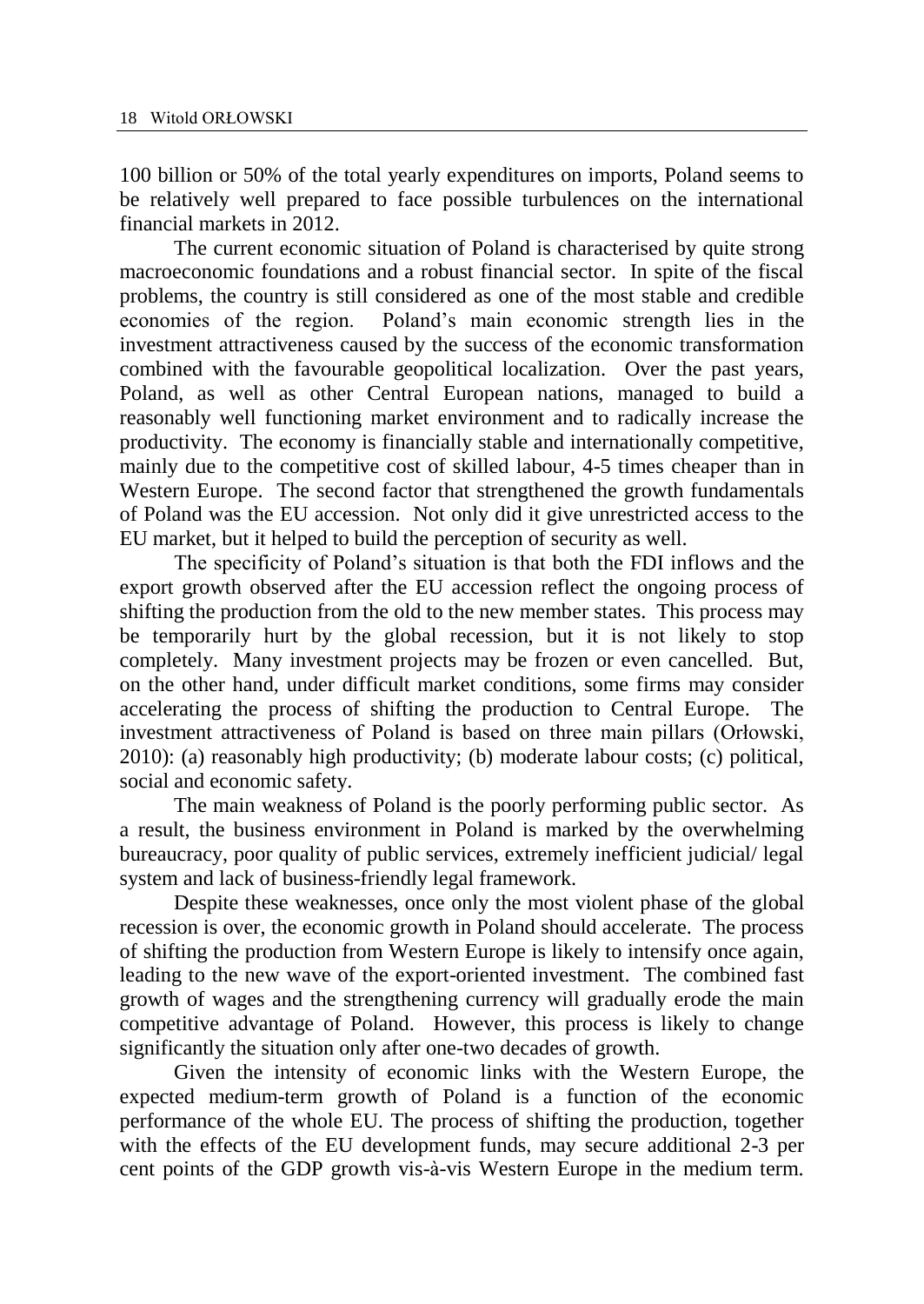100 billion or 50% of the total yearly expenditures on imports, Poland seems to be relatively well prepared to face possible turbulences on the international financial markets in 2012.

The current economic situation of Poland is characterised by quite strong macroeconomic foundations and a robust financial sector. In spite of the fiscal problems, the country is still considered as one of the most stable and credible economies of the region. Poland's main economic strength lies in the investment attractiveness caused by the success of the economic transformation combined with the favourable geopolitical localization. Over the past years, Poland, as well as other Central European nations, managed to build a reasonably well functioning market environment and to radically increase the productivity. The economy is financially stable and internationally competitive, mainly due to the competitive cost of skilled labour, 4-5 times cheaper than in Western Europe. The second factor that strengthened the growth fundamentals of Poland was the EU accession. Not only did it give unrestricted access to the EU market, but it helped to build the perception of security as well.

The specificity of Poland's situation is that both the FDI inflows and the export growth observed after the EU accession reflect the ongoing process of shifting the production from the old to the new member states. This process may be temporarily hurt by the global recession, but it is not likely to stop completely. Many investment projects may be frozen or even cancelled. But, on the other hand, under difficult market conditions, some firms may consider accelerating the process of shifting the production to Central Europe. The investment attractiveness of Poland is based on three main pillars (Orłowski, 2010): (a) reasonably high productivity; (b) moderate labour costs; (c) political, social and economic safety.

The main weakness of Poland is the poorly performing public sector. As a result, the business environment in Poland is marked by the overwhelming bureaucracy, poor quality of public services, extremely inefficient judicial/ legal system and lack of business-friendly legal framework.

Despite these weaknesses, once only the most violent phase of the global recession is over, the economic growth in Poland should accelerate. The process of shifting the production from Western Europe is likely to intensify once again, leading to the new wave of the export-oriented investment. The combined fast growth of wages and the strengthening currency will gradually erode the main competitive advantage of Poland. However, this process is likely to change significantly the situation only after one-two decades of growth.

Given the intensity of economic links with the Western Europe, the expected medium-term growth of Poland is a function of the economic performance of the whole EU. The process of shifting the production, together with the effects of the EU development funds, may secure additional 2-3 per cent points of the GDP growth vis-à-vis Western Europe in the medium term.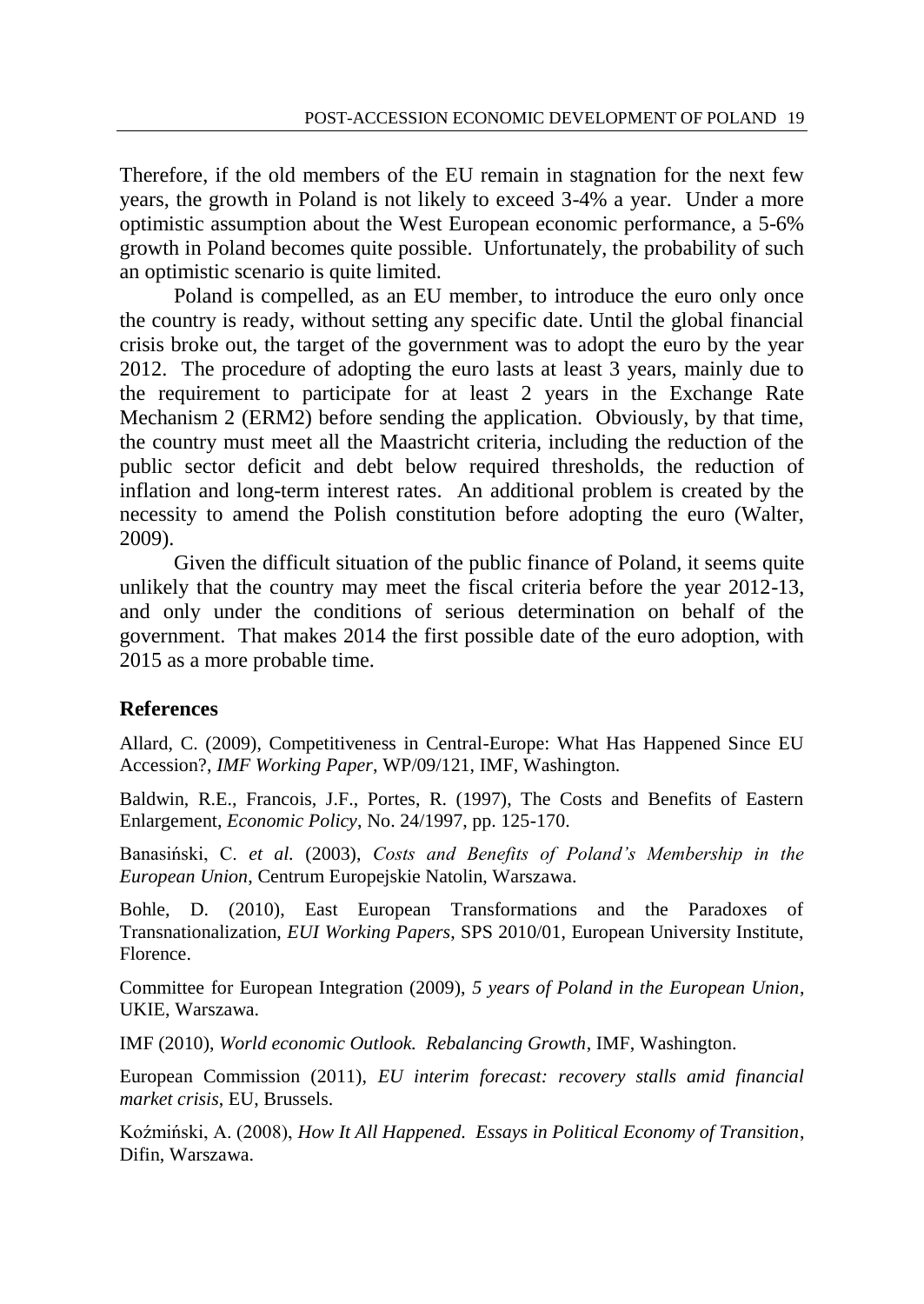Therefore, if the old members of the EU remain in stagnation for the next few years, the growth in Poland is not likely to exceed 3-4% a year. Under a more optimistic assumption about the West European economic performance, a 5-6% growth in Poland becomes quite possible. Unfortunately, the probability of such an optimistic scenario is quite limited.

Poland is compelled, as an EU member, to introduce the euro only once the country is ready, without setting any specific date. Until the global financial crisis broke out, the target of the government was to adopt the euro by the year 2012. The procedure of adopting the euro lasts at least 3 years, mainly due to the requirement to participate for at least 2 years in the Exchange Rate Mechanism 2 (ERM2) before sending the application. Obviously, by that time, the country must meet all the Maastricht criteria, including the reduction of the public sector deficit and debt below required thresholds, the reduction of inflation and long-term interest rates. An additional problem is created by the necessity to amend the Polish constitution before adopting the euro (Walter, 2009).

Given the difficult situation of the public finance of Poland, it seems quite unlikely that the country may meet the fiscal criteria before the year 2012-13, and only under the conditions of serious determination on behalf of the government. That makes 2014 the first possible date of the euro adoption, with 2015 as a more probable time.

# **References**

Allard, C. (2009), Competitiveness in Central-Europe: What Has Happened Since EU Accession?, *IMF Working Paper*, WP/09/121, IMF, Washington.

Baldwin, R.E., Francois, J.F., Portes, R. (1997), The Costs and Benefits of Eastern Enlargement, *Economic Policy*, No. 24/1997, pp. 125-170.

Banasiński, C. *et al.* (2003), *Costs and Benefits of Poland's Membership in the European Union*, Centrum Europejskie Natolin, Warszawa.

Bohle, D. (2010), East European Transformations and the Paradoxes of Transnationalization, *EUI Working Papers*, SPS 2010/01, European University Institute, Florence.

Committee for European Integration (2009), *5 years of Poland in the European Union*, UKIE, Warszawa.

IMF (2010), *World economic Outlook. Rebalancing Growth*, IMF, Washington.

European Commission (2011), *EU interim forecast: recovery stalls amid financial market crisis*, EU, Brussels.

Koźmiński, A. (2008), *How It All Happened. Essays in Political Economy of Transition*, Difin, Warszawa.